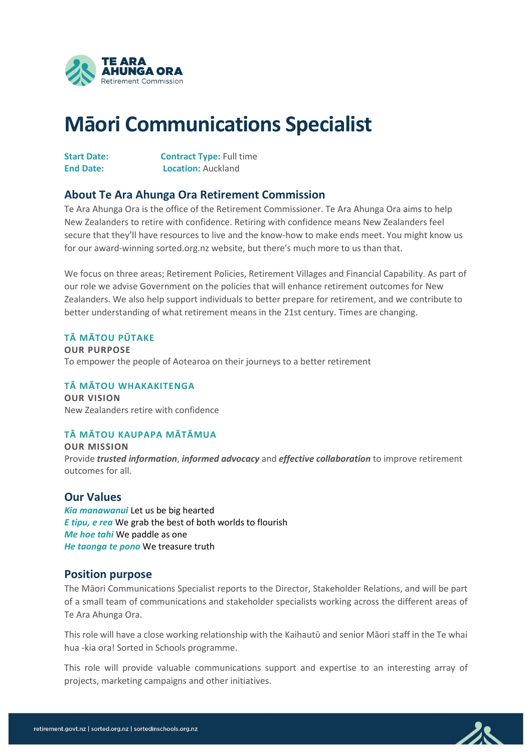

# **Māori Communications Specialist**

| <b>Start Date:</b> | <b>Contract Type: Full time</b> |
|--------------------|---------------------------------|
| <b>End Date:</b>   | <b>Location: Auckland</b>       |

## **About Te Ara Ahunga Ora Retirement Commission**

Te Ara Ahunga Ora is the office of the Retirement Commissioner. Te Ara Ahunga Ora aims to help New Zealanders to retire with confidence. Retiring with confidence means New Zealanders feel secure that they'll have resources to live and the know-how to make ends meet. You might know us for our award-winning sorted.org.nz website, but there's much more to us than that.

We focus on three areas; Retirement Policies, Retirement Villages and Financial Capability. As part of our role we advise Government on the policies that will enhance retirement outcomes for New Zealanders. We also help support individuals to better prepare for retirement, and we contribute to better understanding of what retirement means in the 21st century. Times are changing.

#### **TĀ MĀTOU PŪTAKE**

**OUR PURPOSE**  To empower the people of Aotearoa on their journeys to a better retirement

#### **TĀ MĀTOU WHAKAKITENGA**

**OUR VISION** New Zealanders retire with confidence

## **TĀ MĀTOU KAUPAPA MĀTĀMUA**

**OUR MISSION** Provide *trusted information*, *informed advocacy* and *effective collaboration* to improve retirement outcomes for all.

## **Our Values**

*Kia manawanui* Let us be big hearted *E tipu, e rea* We grab the best of both worlds to flourish *Me hoe tahi* We paddle as one *He taonga te pono* We treasure truth

## **Position purpose**

The Māori Communications Specialist reports to the Director, Stakeholder Relations, and will be part of a small team of communications and stakeholder specialists working across the different areas of Te Ara Ahunga Ora.

This role will have a close working relationship with the Kaihautū and senior Māori staff in the Te whai hua -kia ora! Sorted in Schools programme.

This role will provide valuable communications support and expertise to an interesting array of projects, marketing campaigns and other initiatives.

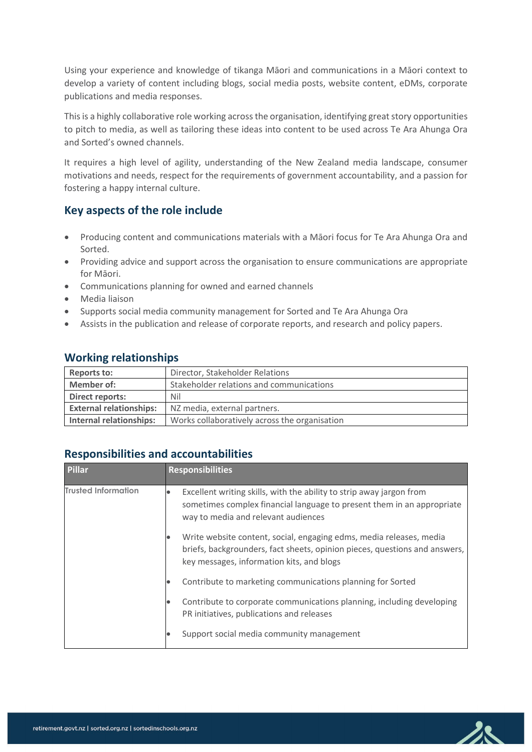Using your experience and knowledge of tikanga Māori and communications in a Māori context to develop a variety of content including blogs, social media posts, website content, eDMs, corporate publications and media responses.

This is a highly collaborative role working across the organisation, identifying great story opportunities to pitch to media, as well as tailoring these ideas into content to be used across Te Ara Ahunga Ora and Sorted's owned channels.

It requires a high level of agility, understanding of the New Zealand media landscape, consumer motivations and needs, respect for the requirements of government accountability, and a passion for fostering a happy internal culture.

# **Key aspects of the role include**

- Producing content and communications materials with a Māori focus for Te Ara Ahunga Ora and Sorted.
- Providing advice and support across the organisation to ensure communications are appropriate for Māori.
- Communications planning for owned and earned channels
- Media liaison
- Supports social media community management for Sorted and Te Ara Ahunga Ora
- Assists in the publication and release of corporate reports, and research and policy papers.

| Reports to:                    | Director, Stakeholder Relations               |
|--------------------------------|-----------------------------------------------|
| <b>Member of:</b>              | Stakeholder relations and communications      |
| <b>Direct reports:</b>         | Nil                                           |
| <b>External relationships:</b> | NZ media, external partners.                  |
| Internal relationships:        | Works collaboratively across the organisation |

## **Working relationships**

# **Responsibilities and accountabilities**

| Pillar                     | <b>Responsibilities</b>                                                                                                                                                                        |
|----------------------------|------------------------------------------------------------------------------------------------------------------------------------------------------------------------------------------------|
| <b>Trusted Information</b> | Excellent writing skills, with the ability to strip away jargon from<br>sometimes complex financial language to present them in an appropriate<br>way to media and relevant audiences          |
|                            | Write website content, social, engaging edms, media releases, media<br>briefs, backgrounders, fact sheets, opinion pieces, questions and answers,<br>key messages, information kits, and blogs |
|                            | Contribute to marketing communications planning for Sorted                                                                                                                                     |
|                            | Contribute to corporate communications planning, including developing<br>PR initiatives, publications and releases                                                                             |
|                            | Support social media community management                                                                                                                                                      |

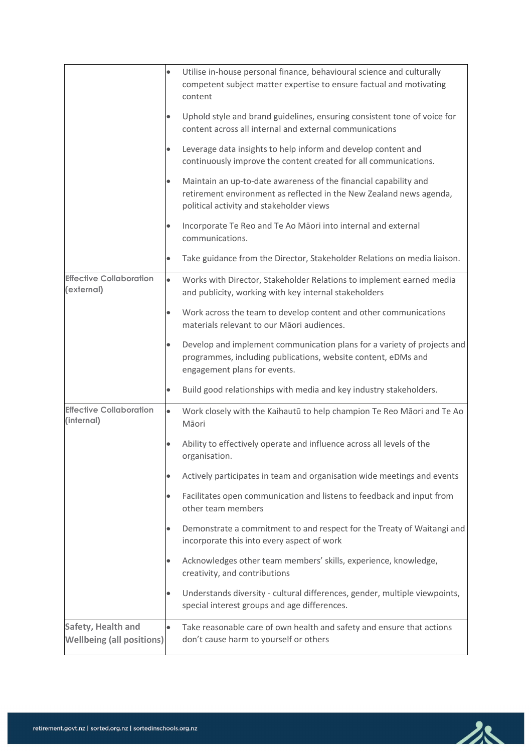|                                                        | $\bullet$ | Utilise in-house personal finance, behavioural science and culturally<br>competent subject matter expertise to ensure factual and motivating<br>content                             |
|--------------------------------------------------------|-----------|-------------------------------------------------------------------------------------------------------------------------------------------------------------------------------------|
|                                                        | $\bullet$ | Uphold style and brand guidelines, ensuring consistent tone of voice for<br>content across all internal and external communications                                                 |
|                                                        |           | Leverage data insights to help inform and develop content and<br>continuously improve the content created for all communications.                                                   |
|                                                        | $\bullet$ | Maintain an up-to-date awareness of the financial capability and<br>retirement environment as reflected in the New Zealand news agenda,<br>political activity and stakeholder views |
|                                                        | $\bullet$ | Incorporate Te Reo and Te Ao Māori into internal and external<br>communications.                                                                                                    |
|                                                        | $\bullet$ | Take guidance from the Director, Stakeholder Relations on media liaison.                                                                                                            |
| <b>Effective Collaboration</b><br>(external)           | $\bullet$ | Works with Director, Stakeholder Relations to implement earned media<br>and publicity, working with key internal stakeholders                                                       |
|                                                        | $\bullet$ | Work across the team to develop content and other communications<br>materials relevant to our Māori audiences.                                                                      |
|                                                        | $\bullet$ | Develop and implement communication plans for a variety of projects and<br>programmes, including publications, website content, eDMs and<br>engagement plans for events.            |
|                                                        |           | Build good relationships with media and key industry stakeholders.                                                                                                                  |
| <b>Effective Collaboration</b><br>(internal)           | $\bullet$ | Work closely with the Kaihautū to help champion Te Reo Māori and Te Ao<br>Māori                                                                                                     |
|                                                        |           | Ability to effectively operate and influence across all levels of the<br>organisation.                                                                                              |
|                                                        | $\bullet$ | Actively participates in team and organisation wide meetings and events                                                                                                             |
|                                                        | $\bullet$ | Facilitates open communication and listens to feedback and input from<br>other team members                                                                                         |
|                                                        | $\bullet$ | Demonstrate a commitment to and respect for the Treaty of Waitangi and<br>incorporate this into every aspect of work                                                                |
|                                                        |           | Acknowledges other team members' skills, experience, knowledge,<br>creativity, and contributions                                                                                    |
|                                                        | $\bullet$ | Understands diversity - cultural differences, gender, multiple viewpoints,<br>special interest groups and age differences.                                                          |
| Safety, Health and<br><b>Wellbeing (all positions)</b> | $\bullet$ | Take reasonable care of own health and safety and ensure that actions<br>don't cause harm to yourself or others                                                                     |

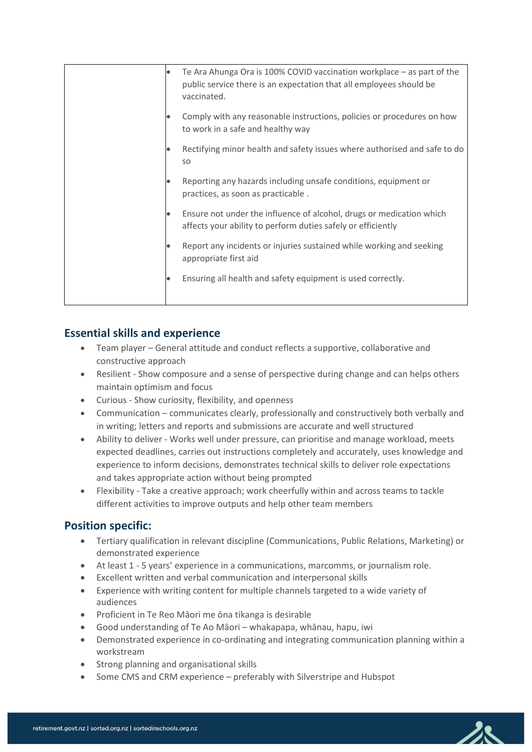| $\bullet$ | Te Ara Ahunga Ora is 100% COVID vaccination workplace - as part of the<br>public service there is an expectation that all employees should be<br>vaccinated. |
|-----------|--------------------------------------------------------------------------------------------------------------------------------------------------------------|
| $\bullet$ | Comply with any reasonable instructions, policies or procedures on how<br>to work in a safe and healthy way                                                  |
| $\bullet$ | Rectifying minor health and safety issues where authorised and safe to do<br><b>SO</b>                                                                       |
|           | Reporting any hazards including unsafe conditions, equipment or<br>practices, as soon as practicable.                                                        |
| $\bullet$ | Ensure not under the influence of alcohol, drugs or medication which<br>affects your ability to perform duties safely or efficiently                         |
| $\bullet$ | Report any incidents or injuries sustained while working and seeking<br>appropriate first aid                                                                |
| $\bullet$ | Ensuring all health and safety equipment is used correctly.                                                                                                  |

# **Essential skills and experience**

- Team player General attitude and conduct reflects a supportive, collaborative and constructive approach
- Resilient Show composure and a sense of perspective during change and can helps others maintain optimism and focus
- Curious Show curiosity, flexibility, and openness
- Communication communicates clearly, professionally and constructively both verbally and in writing; letters and reports and submissions are accurate and well structured
- Ability to deliver Works well under pressure, can prioritise and manage workload, meets expected deadlines, carries out instructions completely and accurately, uses knowledge and experience to inform decisions, demonstrates technical skills to deliver role expectations and takes appropriate action without being prompted
- Flexibility Take a creative approach; work cheerfully within and across teams to tackle different activities to improve outputs and help other team members

## **Position specific:**

- Tertiary qualification in relevant discipline (Communications, Public Relations, Marketing) or demonstrated experience
- At least 1 5 years' experience in a communications, marcomms, or journalism role.
- Excellent written and verbal communication and interpersonal skills
- Experience with writing content for multiple channels targeted to a wide variety of audiences
- Proficient in Te Reo Māori me ōna tikanga is desirable
- Good understanding of Te Ao Māori whakapapa, whānau, hapu, iwi
- Demonstrated experience in co-ordinating and integrating communication planning within a workstream
- Strong planning and organisational skills
- Some CMS and CRM experience preferably with Silverstripe and Hubspot